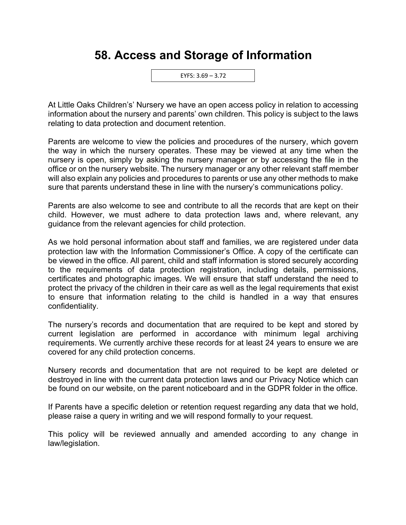## **58. Access and Storage of Information**



At Little Oaks Children's' Nursery we have an open access policy in relation to accessing information about the nursery and parents' own children. This policy is subject to the laws relating to data protection and document retention.

Parents are welcome to view the policies and procedures of the nursery, which govern the way in which the nursery operates. These may be viewed at any time when the nursery is open, simply by asking the nursery manager or by accessing the file in the office or on the nursery website. The nursery manager or any other relevant staff member will also explain any policies and procedures to parents or use any other methods to make sure that parents understand these in line with the nursery's communications policy.

Parents are also welcome to see and contribute to all the records that are kept on their child. However, we must adhere to data protection laws and, where relevant, any guidance from the relevant agencies for child protection.

As we hold personal information about staff and families, we are registered under data protection law with the Information Commissioner's Office. A copy of the certificate can be viewed in the office. All parent, child and staff information is stored securely according to the requirements of data protection registration, including details, permissions, certificates and photographic images. We will ensure that staff understand the need to protect the privacy of the children in their care as well as the legal requirements that exist to ensure that information relating to the child is handled in a way that ensures confidentiality.

The nursery's records and documentation that are required to be kept and stored by current legislation are performed in accordance with minimum legal archiving requirements. We currently archive these records for at least 24 years to ensure we are covered for any child protection concerns.

Nursery records and documentation that are not required to be kept are deleted or destroyed in line with the current data protection laws and our Privacy Notice which can be found on our website, on the parent noticeboard and in the GDPR folder in the office.

If Parents have a specific deletion or retention request regarding any data that we hold, please raise a query in writing and we will respond formally to your request.

This policy will be reviewed annually and amended according to any change in law/legislation.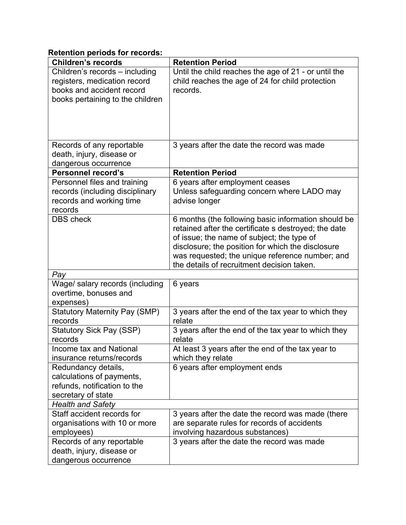## **Retention periods for records:**

| <b>Children's records</b>                  | <b>Retention Period</b>                                       |  |  |
|--------------------------------------------|---------------------------------------------------------------|--|--|
| Children's records - including             | Until the child reaches the age of 21 - or until the          |  |  |
| registers, medication record               | child reaches the age of 24 for child protection              |  |  |
| books and accident record                  | records.                                                      |  |  |
| books pertaining to the children           |                                                               |  |  |
|                                            |                                                               |  |  |
|                                            |                                                               |  |  |
|                                            |                                                               |  |  |
| Records of any reportable                  | 3 years after the date the record was made                    |  |  |
| death, injury, disease or                  |                                                               |  |  |
| dangerous occurrence                       |                                                               |  |  |
| <b>Personnel record's</b>                  | <b>Retention Period</b>                                       |  |  |
| Personnel files and training               | 6 years after employment ceases                               |  |  |
| records (including disciplinary            | Unless safeguarding concern where LADO may                    |  |  |
| records and working time                   | advise longer                                                 |  |  |
| records<br><b>DBS</b> check                | 6 months (the following basic information should be           |  |  |
|                                            | retained after the certificate s destroyed; the date          |  |  |
|                                            | of issue; the name of subject; the type of                    |  |  |
|                                            | disclosure; the position for which the disclosure             |  |  |
|                                            | was requested; the unique reference number; and               |  |  |
|                                            | the details of recruitment decision taken.                    |  |  |
| Pay                                        |                                                               |  |  |
| Wage/ salary records (including            | 6 years                                                       |  |  |
| overtime, bonuses and                      |                                                               |  |  |
| expenses)                                  |                                                               |  |  |
| <b>Statutory Maternity Pay (SMP)</b>       | 3 years after the end of the tax year to which they           |  |  |
| records<br><b>Statutory Sick Pay (SSP)</b> | relate                                                        |  |  |
| records                                    | 3 years after the end of the tax year to which they<br>relate |  |  |
| Income tax and National                    | At least 3 years after the end of the tax year to             |  |  |
| insurance returns/records                  | which they relate                                             |  |  |
| Redundancy details,                        | 6 years after employment ends                                 |  |  |
| calculations of payments,                  |                                                               |  |  |
| refunds, notification to the               |                                                               |  |  |
| secretary of state                         |                                                               |  |  |
| <b>Health and Safety</b>                   |                                                               |  |  |
| Staff accident records for                 | 3 years after the date the record was made (there             |  |  |
| organisations with 10 or more              | are separate rules for records of accidents                   |  |  |
| employees)                                 | involving hazardous substances)                               |  |  |
| Records of any reportable                  | 3 years after the date the record was made                    |  |  |
| death, injury, disease or                  |                                                               |  |  |
| dangerous occurrence                       |                                                               |  |  |